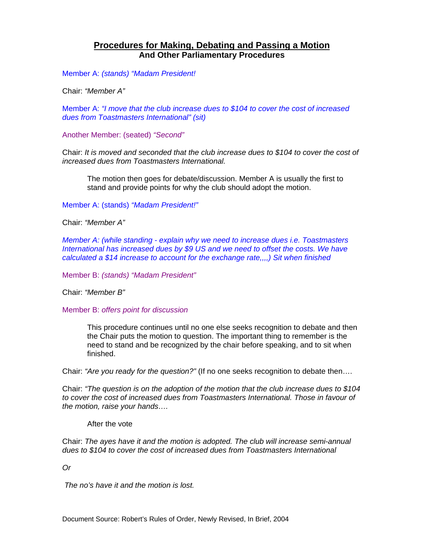### **Procedures for Making, Debating and Passing a Motion And Other Parliamentary Procedures**

Member A: *(stands) "Madam President!* 

Chair: *"Member A"*

Member A: *"I move that the club increase dues to \$104 to cover the cost of increased dues from Toastmasters International" (sit)* 

Another Member: (seated) *"Second"*

Chair: *It is moved and seconded that the club increase dues to \$104 to cover the cost of increased dues from Toastmasters International.*

The motion then goes for debate/discussion. Member A is usually the first to stand and provide points for why the club should adopt the motion.

Member A: (stands) *"Madam President!"*

Chair: *"Member A"*

*Member A: (while standing - explain why we need to increase dues i.e. Toastmasters International has increased dues by \$9 US and we need to offset the costs. We have calculated a \$14 increase to account for the exchange rate,,,,) Sit when finished* 

Member B: *(stands) "Madam President"*

Chair: *"Member B"*

Member B: *offers point for discussion* 

This procedure continues until no one else seeks recognition to debate and then the Chair puts the motion to question. The important thing to remember is the need to stand and be recognized by the chair before speaking, and to sit when finished.

Chair: *"Are you ready for the question?"* (If no one seeks recognition to debate then….

Chair: *"The question is on the adoption of the motion that the club increase dues to \$104 to cover the cost of increased dues from Toastmasters International. Those in favour of the motion, raise your hands….* 

After the vote

Chair: *The ayes have it and the motion is adopted. The club will increase semi-annual dues to \$104 to cover the cost of increased dues from Toastmasters International* 

*Or* 

 *The no's have it and the motion is lost.*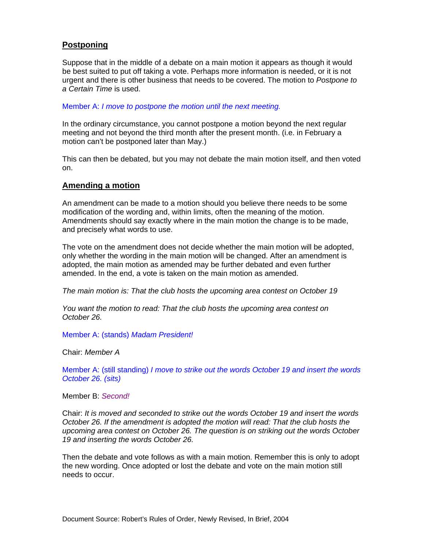### **Postponing**

Suppose that in the middle of a debate on a main motion it appears as though it would be best suited to put off taking a vote. Perhaps more information is needed, or it is not urgent and there is other business that needs to be covered. The motion to *Postpone to a Certain Time* is used.

Member A: *I move to postpone the motion until the next meeting.* 

In the ordinary circumstance, you cannot postpone a motion beyond the next regular meeting and not beyond the third month after the present month. (i.e. in February a motion can't be postponed later than May.)

This can then be debated, but you may not debate the main motion itself, and then voted on.

#### **Amending a motion**

An amendment can be made to a motion should you believe there needs to be some modification of the wording and, within limits, often the meaning of the motion. Amendments should say exactly where in the main motion the change is to be made, and precisely what words to use.

The vote on the amendment does not decide whether the main motion will be adopted, only whether the wording in the main motion will be changed. After an amendment is adopted, the main motion as amended may be further debated and even further amended. In the end, a vote is taken on the main motion as amended.

*The main motion is: That the club hosts the upcoming area contest on October 19* 

*You want the motion to read: That the club hosts the upcoming area contest on October 26.* 

Member A: (stands) *Madam President!* 

Chair: *Member A* 

Member A: (still standing) *I move to strike out the words October 19 and insert the words October 26. (sits)* 

Member B: *Second!*

Chair: *It is moved and seconded to strike out the words October 19 and insert the words October 26. If the amendment is adopted the motion will read: That the club hosts the upcoming area contest on October 26. The question is on striking out the words October 19 and inserting the words October 26.* 

Then the debate and vote follows as with a main motion. Remember this is only to adopt the new wording. Once adopted or lost the debate and vote on the main motion still needs to occur.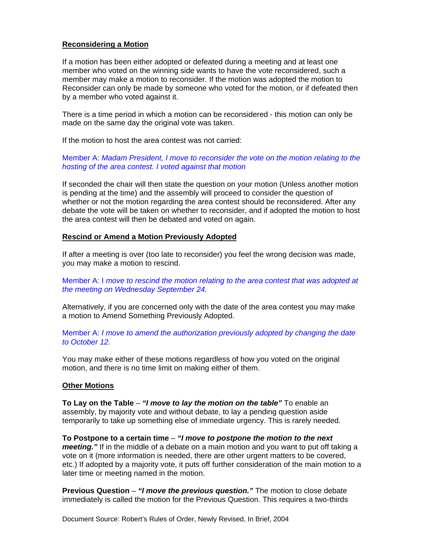#### **Reconsidering a Motion**

If a motion has been either adopted or defeated during a meeting and at least one member who voted on the winning side wants to have the vote reconsidered, such a member may make a motion to reconsider. If the motion was adopted the motion to Reconsider can only be made by someone who voted for the motion, or if defeated then by a member who voted against it.

There is a time period in which a motion can be reconsidered - this motion can only be made on the same day the original vote was taken.

If the motion to host the area contest was not carried:

#### Member A: *Madam President, I move to reconsider the vote on the motion relating to the hosting of the area contest. I voted against that motion*

If seconded the chair will then state the question on your motion (Unless another motion is pending at the time) and the assembly will proceed to consider the question of whether or not the motion regarding the area contest should be reconsidered. After any debate the vote will be taken on whether to reconsider, and if adopted the motion to host the area contest will then be debated and voted on again.

#### **Rescind or Amend a Motion Previously Adopted**

If after a meeting is over (too late to reconsider) you feel the wrong decision was made, you may make a motion to rescind.

Member A: I *move to rescind the motion relating to the area contest that was adopted at the meeting on Wednesday September 24.* 

Alternatively, if you are concerned only with the date of the area contest you may make a motion to Amend Something Previously Adopted.

Member A: *I move to amend the authorization previously adopted by changing the date to October 12.* 

You may make either of these motions regardless of how you voted on the original motion, and there is no time limit on making either of them.

#### **Other Motions**

**To Lay on the Table** – *"I move to lay the motion on the table"* To enable an assembly, by majority vote and without debate, to lay a pending question aside temporarily to take up something else of immediate urgency. This is rarely needed.

**To Postpone to a certain time** – *"I move to postpone the motion to the next meeting."* If in the middle of a debate on a main motion and you want to put off taking a vote on it (more information is needed, there are other urgent matters to be covered, etc.) If adopted by a majority vote, it puts off further consideration of the main motion to a later time or meeting named in the motion.

**Previous Question** – *"I move the previous question."* The motion to close debate immediately is called the motion for the Previous Question. This requires a two-thirds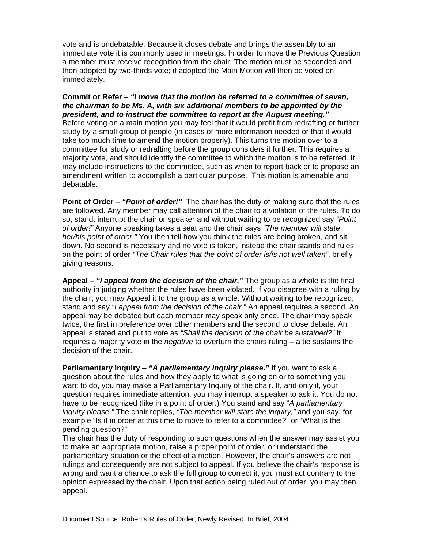vote and is undebatable. Because it closes debate and brings the assembly to an immediate vote it is commonly used in meetings. In order to move the Previous Question a member must receive recognition from the chair. The motion must be seconded and then adopted by two-thirds vote; if adopted the Main Motion will then be voted on immediately.

**Commit or Refer** – *"I move that the motion be referred to a committee of seven, the chairman to be Ms. A, with six additional members to be appointed by the president, and to instruct the committee to report at the August meeting."*  Before voting on a main motion you may feel that it would profit from redrafting or further study by a small group of people (in cases of more information needed or that it would take too much time to amend the motion properly). This turns the motion over to a committee for study or redrafting before the group considers it further. This requires a majority vote, and should identify the committee to which the motion is to be referred. It may include instructions to the committee, such as when to report back or to propose an amendment written to accomplish a particular purpose. This motion is amenable and debatable.

**Point of Order** – *"Point of order!"* The chair has the duty of making sure that the rules are followed. Any member may call attention of the chair to a violation of the rules. To do so, stand, interrupt the chair or speaker and without waiting to be recognized say *"Point of order!"* Anyone speaking takes a seat and the chair says *"The member will state her/his point of order."* You then tell how you think the rules are being broken, and sit down. No second is necessary and no vote is taken, instead the chair stands and rules on the point of order *"The Chair rules that the point of order is/is not well taken"*, briefly giving reasons.

**Appeal** – *"I appeal from the decision of the chair."* The group as a whole is the final authority in judging whether the rules have been violated. If you disagree with a ruling by the chair, you may Appeal it to the group as a whole. Without waiting to be recognized, stand and say *"I appeal from the decision of the chair."* An appeal requires a second. An appeal may be debated but each member may speak only once. The chair may speak twice, the first in preference over other members and the second to close debate. An appeal is stated and put to vote as *"Shall the decision of the chair be sustained?"* It requires a majority vote in the *negative* to overturn the chairs ruling – a tie sustains the decision of the chair.

**Parliamentary Inquiry – "A parliamentary inquiry please."** If you want to ask a question about the rules and how they apply to what is going on or to something you want to do, you may make a Parliamentary Inquiry of the chair. If, and only if, your question requires immediate attention, you may interrupt a speaker to ask it. You do not have to be recognized (like in a point of order.) You stand and say "*A parliamentary inquiry please."* The chair replies, *"The member will state the inquiry,"* and you say, for example "Is it in order at this time to move to refer to a committee?" or "What is the pending question?"

The chair has the duty of responding to such questions when the answer may assist you to make an appropriate motion, raise a proper point of order, or understand the parliamentary situation or the effect of a motion. However, the chair's answers are not rulings and consequently are not subject to appeal. If you believe the chair's response is wrong and want a chance to ask the full group to correct it, you must act contrary to the opinion expressed by the chair. Upon that action being ruled out of order, you may then appeal.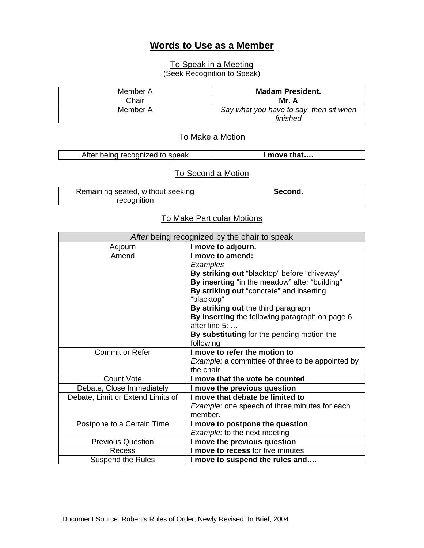## **Words to Use as a Member**

# To Speak in a Meeting

(Seek Recognition to Speak)

| Member A | <b>Madam President.</b>                             |
|----------|-----------------------------------------------------|
| Chair    | Mr. A                                               |
| Member A | Say what you have to say, then sit when<br>finished |

# To Make a Motion

| After being recognized to speak | I move that |
|---------------------------------|-------------|

# To Second a Motion

| Remaining seated, without seeking | Second. |
|-----------------------------------|---------|
| recognition                       |         |

### To Make Particular Motions

| After being recognized by the chair to speak |                                                         |
|----------------------------------------------|---------------------------------------------------------|
| Adjourn                                      | I move to adjourn.                                      |
| Amend                                        | I move to amend:                                        |
|                                              | Examples                                                |
|                                              | By striking out "blacktop" before "driveway"            |
|                                              | By inserting "in the meadow" after "building"           |
|                                              | By striking out "concrete" and inserting<br>"blacktop"  |
|                                              | By striking out the third paragraph                     |
|                                              | By inserting the following paragraph on page 6          |
|                                              | after line $5:$                                         |
|                                              | By substituting for the pending motion the              |
|                                              | following                                               |
| <b>Commit or Refer</b>                       | I move to refer the motion to                           |
|                                              | <i>Example:</i> a committee of three to be appointed by |
|                                              | the chair                                               |
| <b>Count Vote</b>                            | I move that the vote be counted                         |
| Debate, Close Immediately                    | I move the previous question                            |
| Debate, Limit or Extend Limits of            | I move that debate be limited to                        |
|                                              | Example: one speech of three minutes for each           |
|                                              | member.                                                 |
| Postpone to a Certain Time                   | I move to postpone the question                         |
|                                              | <b>Example: to the next meeting</b>                     |
| <b>Previous Question</b>                     | I move the previous question                            |
| Recess                                       | I move to recess for five minutes                       |
| <b>Suspend the Rules</b>                     | I move to suspend the rules and                         |